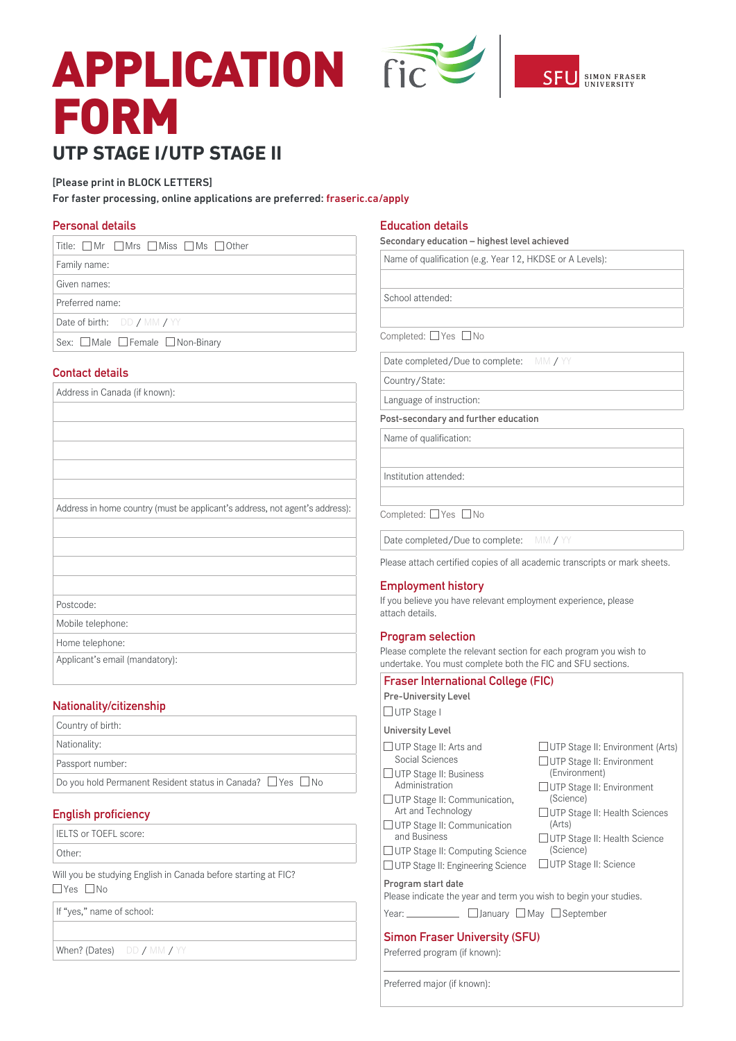# APPLICATION FICE SFU SIMON FRASER FORM **UTP STAGE I/UTP STAGE II**



## [Please print in BLOCK LETTERS]

For faster processing, online applications are preferred: fraseric.ca/apply

#### **Personal details**

## **Contact details**

Address in Canada (if known):

Address in home country (must be applicant's address, not agent's address):

Postcode:

Mobile telephone:

Home telephone:

Applicant's email (mandatory):

## **Nationality/citizenship**

| <b>English proficiency</b>                                            |  |
|-----------------------------------------------------------------------|--|
| Do you hold Permanent Resident status in Canada? $\Box$ Yes $\Box$ No |  |
| Passport number:                                                      |  |
| Nationality:                                                          |  |
| Country of birth:                                                     |  |

IELTS or TOEFL score:

Other:

Will you be studying English in Canada before starting at FIC?  $\Box$ Yes  $\Box$ No

If "yes," name of school:

When? (Dates) DD / MM / YY

### **Education details**

**Secondary education – highest level achieved**

| Name of qualification (e.g. Year 12, HKDSE or A Levels): |
|----------------------------------------------------------|
|                                                          |
| School attended:                                         |

Completed: TYes No

Date completed/Due to complete: MM / YY

Country/State:

Language of instruction:

**Post-secondary and further education**

Name of qualification:

Institution attended:

Completed:  $\Box$  Yes  $\Box$  No

Date completed/Due to complete: MM / YY

Please attach certified copies of all academic transcripts or mark sheets.

#### **Employment history**

If you believe you have relevant employment experience, please attach details.

## **Program selection**

Please complete the relevant section for each program you wish to undertake. You must complete both the FIC and SFU sections.

| <b>Fraser International College (FIC)</b>                                                                                                                                                                                                                                                                    |                                                                                                                                                                                                                                                                       |  |  |
|--------------------------------------------------------------------------------------------------------------------------------------------------------------------------------------------------------------------------------------------------------------------------------------------------------------|-----------------------------------------------------------------------------------------------------------------------------------------------------------------------------------------------------------------------------------------------------------------------|--|--|
| <b>Pre-University Level</b>                                                                                                                                                                                                                                                                                  |                                                                                                                                                                                                                                                                       |  |  |
| $\Box$ UTP Stage I                                                                                                                                                                                                                                                                                           |                                                                                                                                                                                                                                                                       |  |  |
| University Level                                                                                                                                                                                                                                                                                             |                                                                                                                                                                                                                                                                       |  |  |
| $\Box$ UTP Stage II: Arts and<br>Social Sciences<br>$\Box$ UTP Stage II: Business<br>Administration<br>$\Box$ UTP Stage II: Communication,<br>Art and Technology<br>$\Box$ UTP Stage II: Communication<br>and Business<br>$\Box$ UTP Stage II: Computing Science<br>$\Box$ UTP Stage II: Engineering Science | $\Box$ UTP Stage II: Environment (Arts)<br>$\Box$ UTP Stage II: Environment<br>(Environment)<br>$\Box$ UTP Stage II: Environment<br>(Science)<br>∪TP Stage II: Health Sciences<br>(Arts)<br>UTP Stage II: Health Science<br>(Science)<br>$\Box$ UTP Stage II: Science |  |  |
| Program start date<br>Please indicate the year and term you wish to begin your studies.                                                                                                                                                                                                                      |                                                                                                                                                                                                                                                                       |  |  |
| Year:                                                                                                                                                                                                                                                                                                        | □ January □ May □ September                                                                                                                                                                                                                                           |  |  |
| <b>Simon Fraser University (SFU)</b>                                                                                                                                                                                                                                                                         |                                                                                                                                                                                                                                                                       |  |  |

Preferred program (if known):

Preferred major (if known):